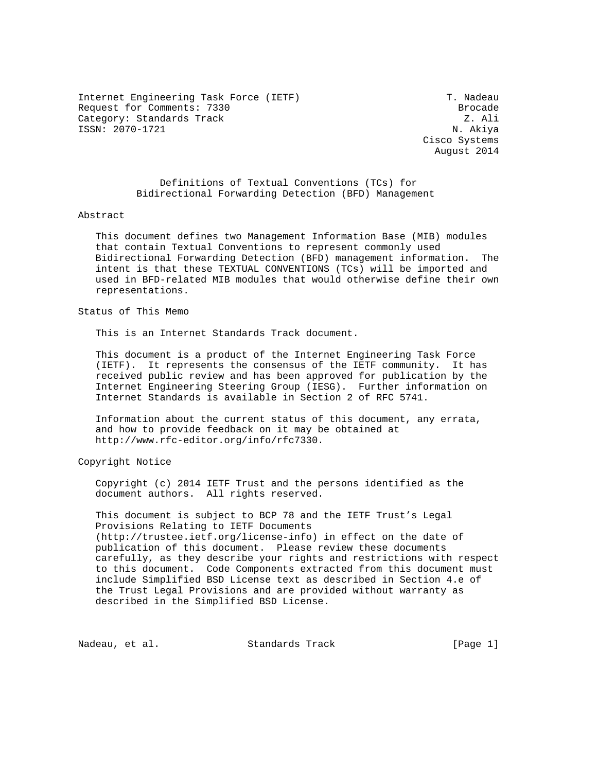Internet Engineering Task Force (IETF) T. Nadeau Request for Comments: 7330 Brocade Category: Standards Track Z. Ali ISSN: 2070-1721 N. Akiya

 Cisco Systems August 2014

 Definitions of Textual Conventions (TCs) for Bidirectional Forwarding Detection (BFD) Management

#### Abstract

 This document defines two Management Information Base (MIB) modules that contain Textual Conventions to represent commonly used Bidirectional Forwarding Detection (BFD) management information. The intent is that these TEXTUAL CONVENTIONS (TCs) will be imported and used in BFD-related MIB modules that would otherwise define their own representations.

Status of This Memo

This is an Internet Standards Track document.

 This document is a product of the Internet Engineering Task Force (IETF). It represents the consensus of the IETF community. It has received public review and has been approved for publication by the Internet Engineering Steering Group (IESG). Further information on Internet Standards is available in Section 2 of RFC 5741.

 Information about the current status of this document, any errata, and how to provide feedback on it may be obtained at http://www.rfc-editor.org/info/rfc7330.

Copyright Notice

 Copyright (c) 2014 IETF Trust and the persons identified as the document authors. All rights reserved.

 This document is subject to BCP 78 and the IETF Trust's Legal Provisions Relating to IETF Documents (http://trustee.ietf.org/license-info) in effect on the date of publication of this document. Please review these documents carefully, as they describe your rights and restrictions with respect to this document. Code Components extracted from this document must include Simplified BSD License text as described in Section 4.e of the Trust Legal Provisions and are provided without warranty as described in the Simplified BSD License.

Nadeau, et al. Standards Track [Page 1]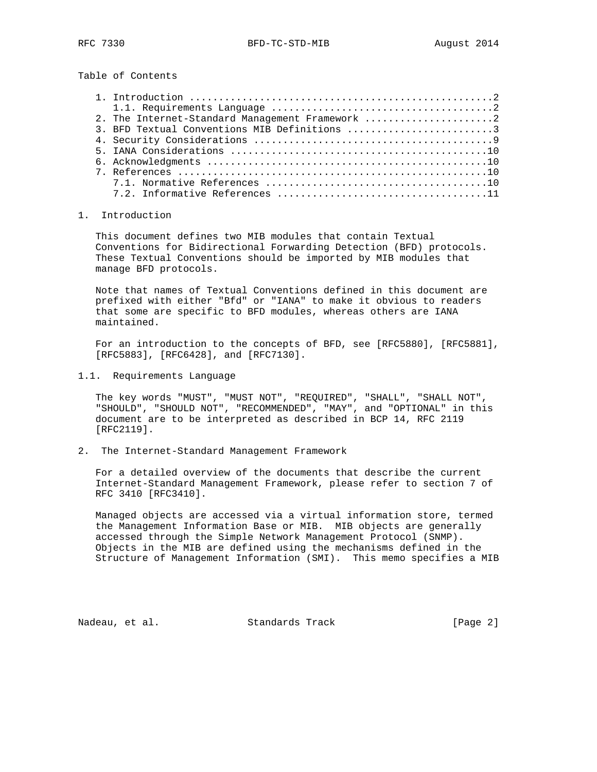Table of Contents

| 2. The Internet-Standard Management Framework 2 |
|-------------------------------------------------|
| 3. BFD Textual Conventions MIB Definitions 3    |
|                                                 |
|                                                 |
|                                                 |
|                                                 |
|                                                 |
|                                                 |

# 1. Introduction

 This document defines two MIB modules that contain Textual Conventions for Bidirectional Forwarding Detection (BFD) protocols. These Textual Conventions should be imported by MIB modules that manage BFD protocols.

 Note that names of Textual Conventions defined in this document are prefixed with either "Bfd" or "IANA" to make it obvious to readers that some are specific to BFD modules, whereas others are IANA maintained.

 For an introduction to the concepts of BFD, see [RFC5880], [RFC5881], [RFC5883], [RFC6428], and [RFC7130].

1.1. Requirements Language

 The key words "MUST", "MUST NOT", "REQUIRED", "SHALL", "SHALL NOT", "SHOULD", "SHOULD NOT", "RECOMMENDED", "MAY", and "OPTIONAL" in this document are to be interpreted as described in BCP 14, RFC 2119 [RFC2119].

2. The Internet-Standard Management Framework

 For a detailed overview of the documents that describe the current Internet-Standard Management Framework, please refer to section 7 of RFC 3410 [RFC3410].

 Managed objects are accessed via a virtual information store, termed the Management Information Base or MIB. MIB objects are generally accessed through the Simple Network Management Protocol (SNMP). Objects in the MIB are defined using the mechanisms defined in the Structure of Management Information (SMI). This memo specifies a MIB

Nadeau, et al. Standards Track [Page 2]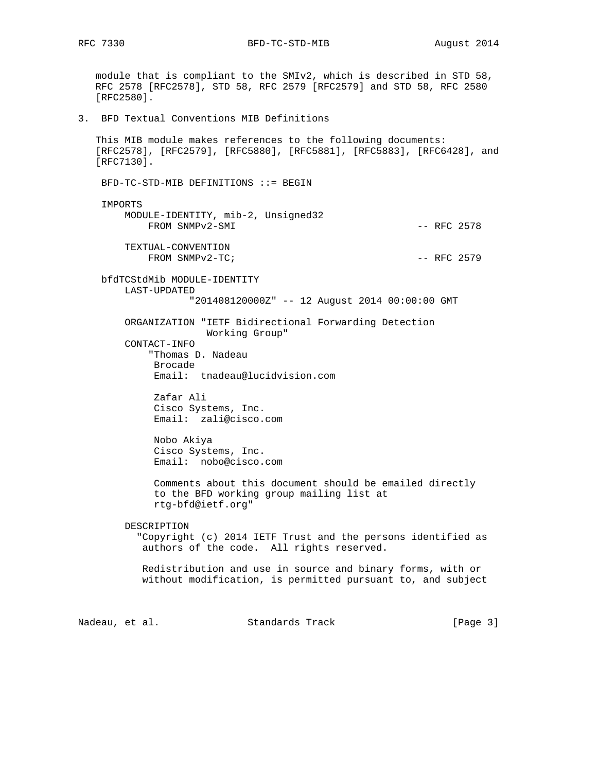RFC 7330 BFD-TC-STD-MIB August 2014

 module that is compliant to the SMIv2, which is described in STD 58, RFC 2578 [RFC2578], STD 58, RFC 2579 [RFC2579] and STD 58, RFC 2580 [RFC2580]. 3. BFD Textual Conventions MIB Definitions This MIB module makes references to the following documents: [RFC2578], [RFC2579], [RFC5880], [RFC5881], [RFC5883], [RFC6428], and [RFC7130]. BFD-TC-STD-MIB DEFINITIONS ::= BEGIN IMPORTS MODULE-IDENTITY, mib-2, Unsigned32 FROM SNMPv2-SMI  $-$  RFC 2578 TEXTUAL-CONVENTION  $FROM \quad \text{SMPv2-TC}$ ;  $- RFC \quad \text{2579}$  bfdTCStdMib MODULE-IDENTITY LAST-UPDATED "201408120000Z" -- 12 August 2014 00:00:00 GMT ORGANIZATION "IETF Bidirectional Forwarding Detection Working Group" CONTACT-INFO "Thomas D. Nadeau Brocade Email: tnadeau@lucidvision.com Zafar Ali Cisco Systems, Inc. Email: zali@cisco.com Nobo Akiya Cisco Systems, Inc. Email: nobo@cisco.com Comments about this document should be emailed directly to the BFD working group mailing list at rtg-bfd@ietf.org" DESCRIPTION "Copyright (c) 2014 IETF Trust and the persons identified as authors of the code. All rights reserved. Redistribution and use in source and binary forms, with or without modification, is permitted pursuant to, and subject Nadeau, et al. Standards Track [Page 3]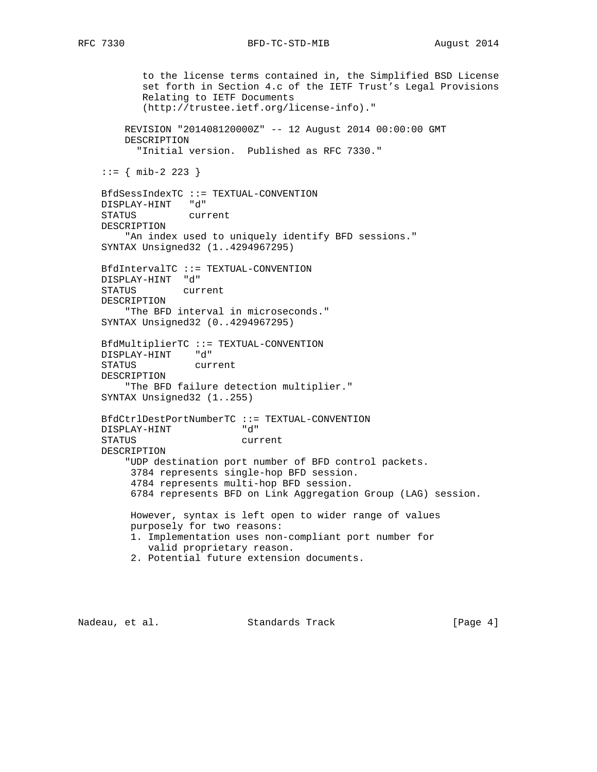to the license terms contained in, the Simplified BSD License set forth in Section 4.c of the IETF Trust's Legal Provisions Relating to IETF Documents (http://trustee.ietf.org/license-info)." REVISION "201408120000Z" -- 12 August 2014 00:00:00 GMT DESCRIPTION "Initial version. Published as RFC 7330."  $::=$  { mib-2 223 } BfdSessIndexTC ::= TEXTUAL-CONVENTION DISPLAY-HINT "d" STATUS current DESCRIPTION "An index used to uniquely identify BFD sessions." SYNTAX Unsigned32 (1..4294967295) BfdIntervalTC ::= TEXTUAL-CONVENTION DISPLAY-HINT "d" STATUS current DESCRIPTION "The BFD interval in microseconds." SYNTAX Unsigned32 (0..4294967295) BfdMultiplierTC ::= TEXTUAL-CONVENTION DISPLAY-HINT "d" STATUS current DESCRIPTION "The BFD failure detection multiplier." SYNTAX Unsigned32 (1..255) BfdCtrlDestPortNumberTC ::= TEXTUAL-CONVENTION DISPLAY-HINT "d" STATUS current DESCRIPTION "UDP destination port number of BFD control packets. 3784 represents single-hop BFD session. 4784 represents multi-hop BFD session. 6784 represents BFD on Link Aggregation Group (LAG) session. However, syntax is left open to wider range of values purposely for two reasons: 1. Implementation uses non-compliant port number for valid proprietary reason. 2. Potential future extension documents.

Nadeau, et al. Standards Track [Page 4]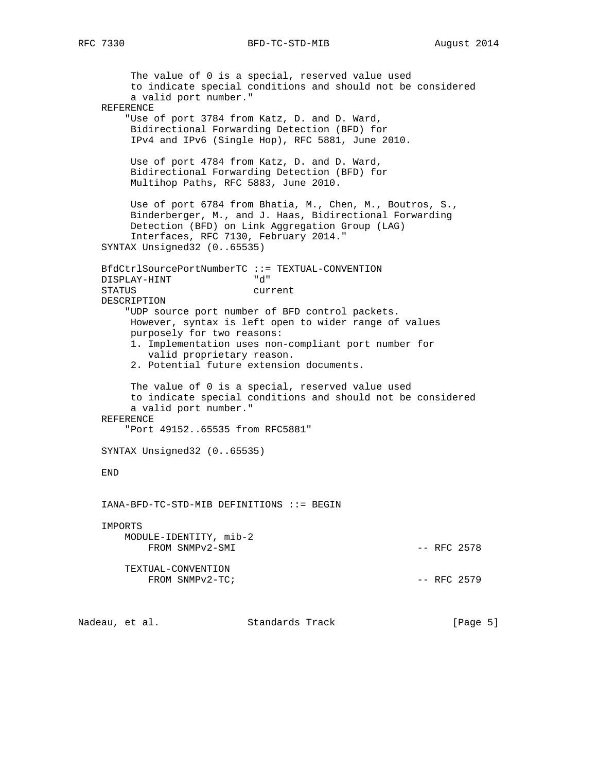The value of 0 is a special, reserved value used to indicate special conditions and should not be considered a valid port number." REFERENCE "Use of port 3784 from Katz, D. and D. Ward, Bidirectional Forwarding Detection (BFD) for IPv4 and IPv6 (Single Hop), RFC 5881, June 2010. Use of port 4784 from Katz, D. and D. Ward, Bidirectional Forwarding Detection (BFD) for Multihop Paths, RFC 5883, June 2010. Use of port 6784 from Bhatia, M., Chen, M., Boutros, S., Binderberger, M., and J. Haas, Bidirectional Forwarding Detection (BFD) on Link Aggregation Group (LAG) Interfaces, RFC 7130, February 2014." SYNTAX Unsigned32 (0..65535) BfdCtrlSourcePortNumberTC ::= TEXTUAL-CONVENTION DISPLAY-HINT "d" STATUS current DESCRIPTION "UDP source port number of BFD control packets. However, syntax is left open to wider range of values purposely for two reasons: 1. Implementation uses non-compliant port number for valid proprietary reason. 2. Potential future extension documents. The value of 0 is a special, reserved value used to indicate special conditions and should not be considered a valid port number." REFERENCE "Port 49152..65535 from RFC5881" SYNTAX Unsigned32 (0..65535) END IANA-BFD-TC-STD-MIB DEFINITIONS ::= BEGIN IMPORTS MODULE-IDENTITY, mib-2 FROM SNMPv2-SMI  $-$  RFC 2578 TEXTUAL-CONVENTION  $FROM \quad \text{SMPv2-TC}$ ;  $- RFC \quad 2579$ 

Nadeau, et al. Standards Track [Page 5]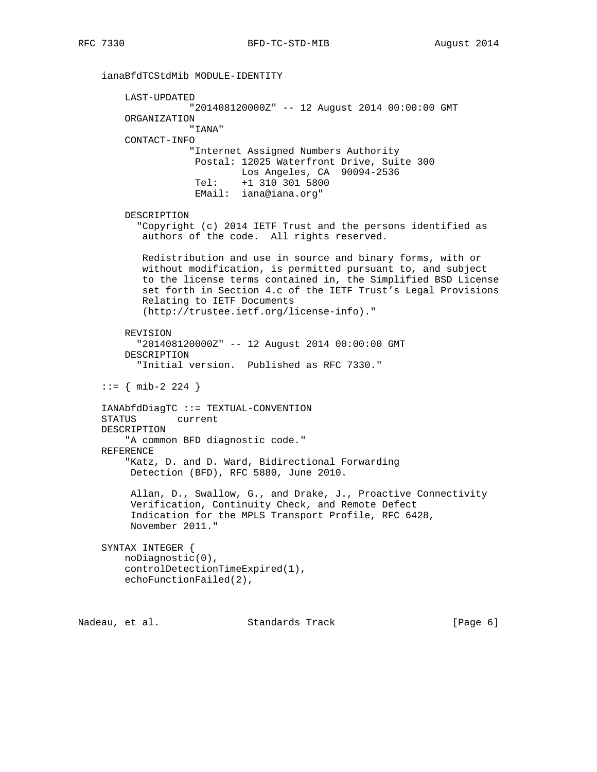ianaBfdTCStdMib MODULE-IDENTITY

RFC 7330 BFD-TC-STD-MIB August 2014

 LAST-UPDATED "201408120000Z" -- 12 August 2014 00:00:00 GMT ORGANIZATION "IANA" CONTACT-INFO "Internet Assigned Numbers Authority Postal: 12025 Waterfront Drive, Suite 300 Los Angeles, CA 90094-2536 Tel: +1 310 301 5800 EMail: iana@iana.org" DESCRIPTION "Copyright (c) 2014 IETF Trust and the persons identified as authors of the code. All rights reserved. Redistribution and use in source and binary forms, with or without modification, is permitted pursuant to, and subject to the license terms contained in, the Simplified BSD License set forth in Section 4.c of the IETF Trust's Legal Provisions Relating to IETF Documents (http://trustee.ietf.org/license-info)." REVISION "201408120000Z" -- 12 August 2014 00:00:00 GMT DESCRIPTION "Initial version. Published as RFC 7330."  $::=$  { mib-2 224 } IANAbfdDiagTC ::= TEXTUAL-CONVENTION STATUS current DESCRIPTION "A common BFD diagnostic code." REFERENCE "Katz, D. and D. Ward, Bidirectional Forwarding Detection (BFD), RFC 5880, June 2010. Allan, D., Swallow, G., and Drake, J., Proactive Connectivity Verification, Continuity Check, and Remote Defect Indication for the MPLS Transport Profile, RFC 6428, November 2011." SYNTAX INTEGER { noDiagnostic(0), controlDetectionTimeExpired(1), echoFunctionFailed(2),

Nadeau, et al. Standards Track [Page 6]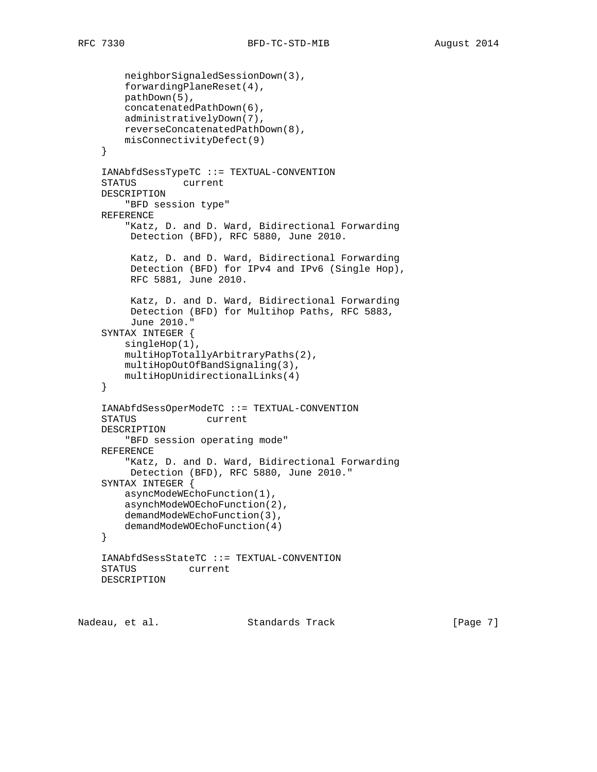```
 neighborSignaledSessionDown(3),
     forwardingPlaneReset(4),
     pathDown(5),
     concatenatedPathDown(6),
     administrativelyDown(7),
     reverseConcatenatedPathDown(8),
     misConnectivityDefect(9)
 }
 IANAbfdSessTypeTC ::= TEXTUAL-CONVENTION
 STATUS current
 DESCRIPTION
     "BFD session type"
 REFERENCE
     "Katz, D. and D. Ward, Bidirectional Forwarding
     Detection (BFD), RFC 5880, June 2010.
      Katz, D. and D. Ward, Bidirectional Forwarding
      Detection (BFD) for IPv4 and IPv6 (Single Hop),
      RFC 5881, June 2010.
      Katz, D. and D. Ward, Bidirectional Forwarding
      Detection (BFD) for Multihop Paths, RFC 5883,
      June 2010."
 SYNTAX INTEGER {
     singleHop(1),
     multiHopTotallyArbitraryPaths(2),
     multiHopOutOfBandSignaling(3),
     multiHopUnidirectionalLinks(4)
 }
 IANAbfdSessOperModeTC ::= TEXTUAL-CONVENTION
 STATUS current
 DESCRIPTION
     "BFD session operating mode"
 REFERENCE
     "Katz, D. and D. Ward, Bidirectional Forwarding
     Detection (BFD), RFC 5880, June 2010."
 SYNTAX INTEGER {
     asyncModeWEchoFunction(1),
     asynchModeWOEchoFunction(2),
     demandModeWEchoFunction(3),
     demandModeWOEchoFunction(4)
 }
 IANAbfdSessStateTC ::= TEXTUAL-CONVENTION
 STATUS current
 DESCRIPTION
```
Nadeau, et al. Standards Track [Page 7]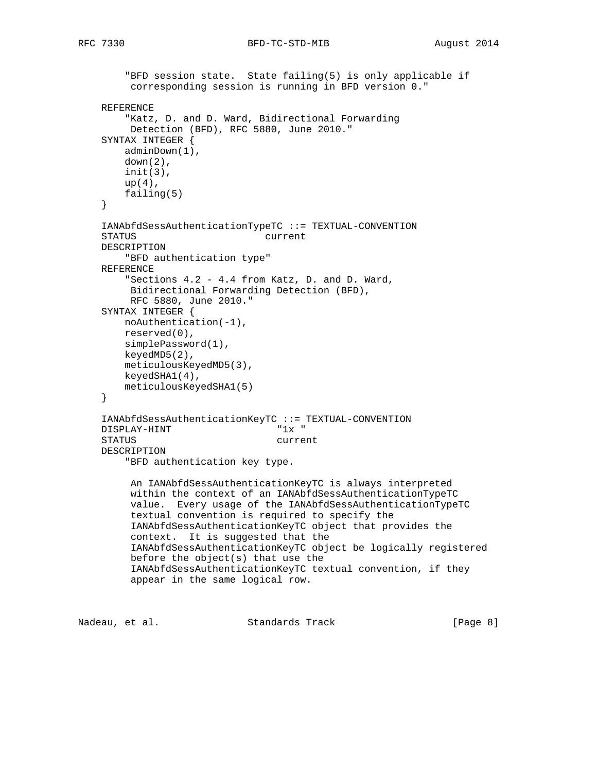```
 "BFD session state. State failing(5) is only applicable if
      corresponding session is running in BFD version 0."
 REFERENCE
     "Katz, D. and D. Ward, Bidirectional Forwarding
     Detection (BFD), RFC 5880, June 2010."
 SYNTAX INTEGER {
    adminDown(1),
   down(2),
    init(3),
   up(4),
    failing(5)
 }
 IANAbfdSessAuthenticationTypeTC ::= TEXTUAL-CONVENTION
 STATUS current
 DESCRIPTION
     "BFD authentication type"
 REFERENCE
     "Sections 4.2 - 4.4 from Katz, D. and D. Ward,
     Bidirectional Forwarding Detection (BFD),
     RFC 5880, June 2010."
 SYNTAX INTEGER {
    noAuthentication(-1),
    reserved(0),
    simplePassword(1),
    keyedMD5(2),
    meticulousKeyedMD5(3),
    keyedSHA1(4),
    meticulousKeyedSHA1(5)
 }
 IANAbfdSessAuthenticationKeyTC ::= TEXTUAL-CONVENTION
DISPLAY-HINT "1x "
 STATUS current
 DESCRIPTION
     "BFD authentication key type.
      An IANAbfdSessAuthenticationKeyTC is always interpreted
      within the context of an IANAbfdSessAuthenticationTypeTC
      value. Every usage of the IANAbfdSessAuthenticationTypeTC
      textual convention is required to specify the
      IANAbfdSessAuthenticationKeyTC object that provides the
      context. It is suggested that the
      IANAbfdSessAuthenticationKeyTC object be logically registered
      before the object(s) that use the
      IANAbfdSessAuthenticationKeyTC textual convention, if they
      appear in the same logical row.
```
Nadeau, et al. Standards Track [Page 8]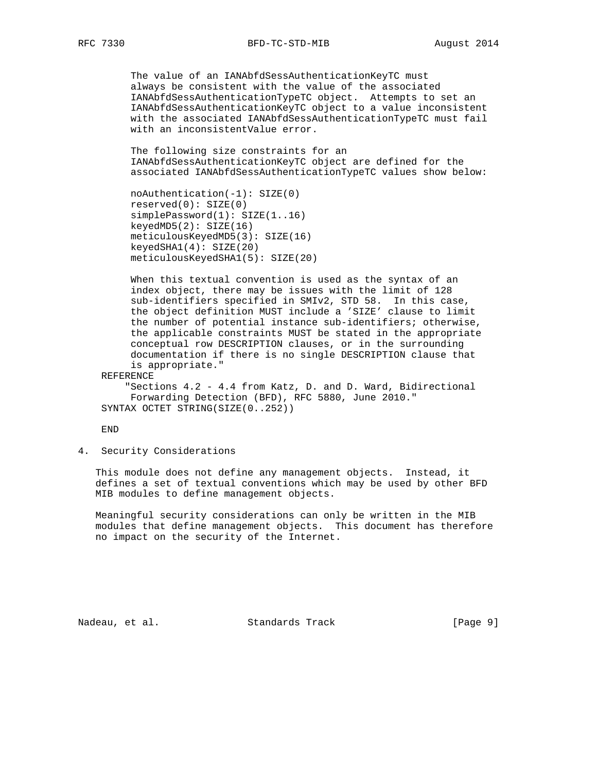The value of an IANAbfdSessAuthenticationKeyTC must always be consistent with the value of the associated IANAbfdSessAuthenticationTypeTC object. Attempts to set an IANAbfdSessAuthenticationKeyTC object to a value inconsistent with the associated IANAbfdSessAuthenticationTypeTC must fail with an inconsistentValue error.

 The following size constraints for an IANAbfdSessAuthenticationKeyTC object are defined for the associated IANAbfdSessAuthenticationTypeTC values show below:

```
 noAuthentication(-1): SIZE(0)
 reserved(0): SIZE(0)
 simplePassword(1): SIZE(1..16)
keyedMD5(2): SIZE(16) meticulousKeyedMD5(3): SIZE(16)
 keyedSHA1(4): SIZE(20)
 meticulousKeyedSHA1(5): SIZE(20)
```
 When this textual convention is used as the syntax of an index object, there may be issues with the limit of 128 sub-identifiers specified in SMIv2, STD 58. In this case, the object definition MUST include a 'SIZE' clause to limit the number of potential instance sub-identifiers; otherwise, the applicable constraints MUST be stated in the appropriate conceptual row DESCRIPTION clauses, or in the surrounding documentation if there is no single DESCRIPTION clause that is appropriate."

REFERENCE

 "Sections 4.2 - 4.4 from Katz, D. and D. Ward, Bidirectional Forwarding Detection (BFD), RFC 5880, June 2010." SYNTAX OCTET STRING(SIZE(0..252))

END

4. Security Considerations

 This module does not define any management objects. Instead, it defines a set of textual conventions which may be used by other BFD MIB modules to define management objects.

 Meaningful security considerations can only be written in the MIB modules that define management objects. This document has therefore no impact on the security of the Internet.

Nadeau, et al. Standards Track [Page 9]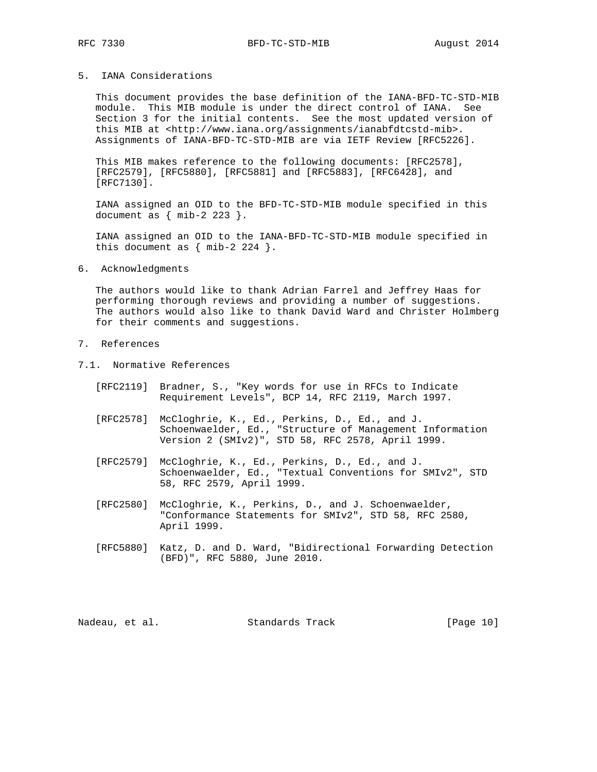### 5. IANA Considerations

 This document provides the base definition of the IANA-BFD-TC-STD-MIB module. This MIB module is under the direct control of IANA. See Section 3 for the initial contents. See the most updated version of this MIB at <http://www.iana.org/assignments/ianabfdtcstd-mib>. Assignments of IANA-BFD-TC-STD-MIB are via IETF Review [RFC5226].

 This MIB makes reference to the following documents: [RFC2578], [RFC2579], [RFC5880], [RFC5881] and [RFC5883], [RFC6428], and [RFC7130].

 IANA assigned an OID to the BFD-TC-STD-MIB module specified in this document as  $\{ \text{mib-2 } 223 \}.$ 

 IANA assigned an OID to the IANA-BFD-TC-STD-MIB module specified in this document as  $\{ \text{mib-2 224 } \}.$ 

#### 6. Acknowledgments

 The authors would like to thank Adrian Farrel and Jeffrey Haas for performing thorough reviews and providing a number of suggestions. The authors would also like to thank David Ward and Christer Holmberg for their comments and suggestions.

## 7. References

- 7.1. Normative References
	- [RFC2119] Bradner, S., "Key words for use in RFCs to Indicate Requirement Levels", BCP 14, RFC 2119, March 1997.
	- [RFC2578] McCloghrie, K., Ed., Perkins, D., Ed., and J. Schoenwaelder, Ed., "Structure of Management Information Version 2 (SMIv2)", STD 58, RFC 2578, April 1999.
	- [RFC2579] McCloghrie, K., Ed., Perkins, D., Ed., and J. Schoenwaelder, Ed., "Textual Conventions for SMIv2", STD 58, RFC 2579, April 1999.
	- [RFC2580] McCloghrie, K., Perkins, D., and J. Schoenwaelder, "Conformance Statements for SMIv2", STD 58, RFC 2580, April 1999.
	- [RFC5880] Katz, D. and D. Ward, "Bidirectional Forwarding Detection (BFD)", RFC 5880, June 2010.

Nadeau, et al. Standards Track [Page 10]